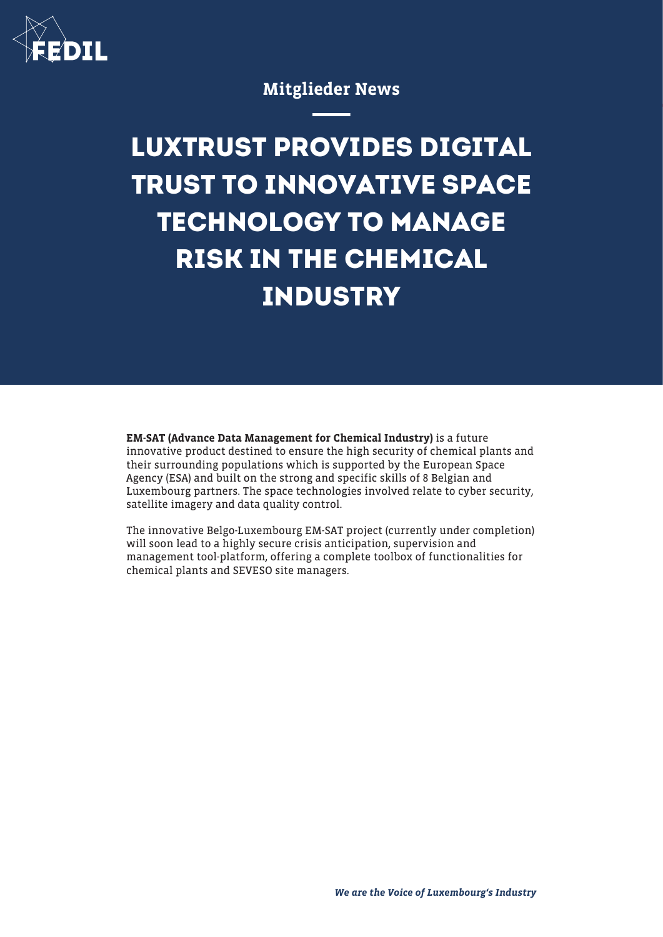

## Mitglieder News

## **LUXTRUST PROVIDES DIGITAL TRUST TO INNOVATIVE SPACE TECHNOLOGY TO MANAGE RISK IN THE CHEMICAL INDUSTRY**

EM-SAT (Advance Data Management for Chemical Industry) is a future innovative product destined to ensure the high security of chemical plants and their surrounding populations which is supported by the European Space Agency (ESA) and built on the strong and specific skills of 8 Belgian and Luxembourg partners. The space technologies involved relate to cyber security, satellite imagery and data quality control.

The innovative Belgo-Luxembourg EM-SAT project (currently under completion) will soon lead to a highly secure crisis anticipation, supervision and management tool-platform, offering a complete toolbox of functionalities for chemical plants and SEVESO site managers.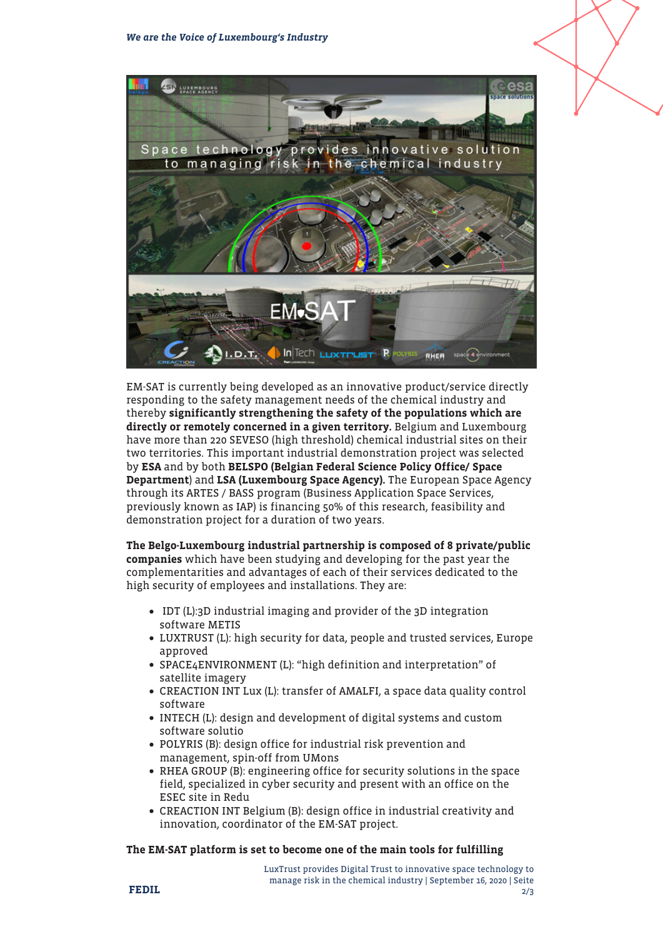

EM-SAT is currently being developed as an innovative product/service directly responding to the safety management needs of the chemical industry and thereby significantly strengthening the safety of the populations which are directly or remotely concerned in a given territory. Belgium and Luxembourg have more than 220 SEVESO (high threshold) chemical industrial sites on their two territories. This important industrial demonstration project was selected by ESA and by both BELSPO (Belgian Federal Science Policy Office/ Space Department) and LSA (Luxembourg Space Agency). The European Space Agency through its ARTES / BASS program (Business Application Space Services, previously known as IAP) is financing 50% of this research, feasibility and demonstration project for a duration of two years.

The Belgo-Luxembourg industrial partnership is composed of 8 private/public companies which have been studying and developing for the past year the complementarities and advantages of each of their services dedicated to the high security of employees and installations. They are:

- IDT (L):3D industrial imaging and provider of the 3D integration software METIS
- LUXTRUST (L): high security for data, people and trusted services, Europe approved
- SPACE4ENVIRONMENT (L): "high definition and interpretation" of satellite imagery
- CREACTION INT Lux (L): transfer of AMALFI, a space data quality control software
- INTECH (L): design and development of digital systems and custom software solutio
- POLYRIS (B): design office for industrial risk prevention and management, spin-off from UMons
- RHEA GROUP (B): engineering office for security solutions in the space field, specialized in cyber security and present with an office on the ESEC site in Redu
- CREACTION INT Belgium (B): design office in industrial creativity and innovation, coordinator of the EM-SAT project.

## The EM-SAT platform is set to become one of the main tools for fulfilling